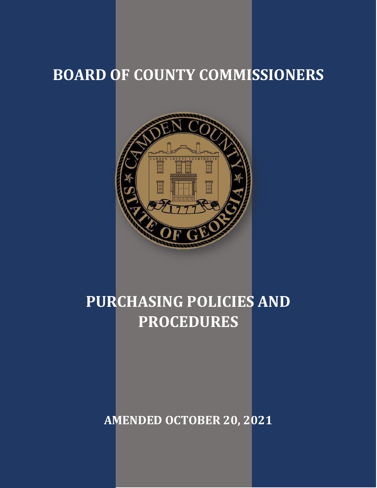# **BOARD OF COUNTY COMMISSIONERS**



# **PURCHASING POLICIES AND PROCEDURES**

**AMENDED OCTOBER 20, 2021**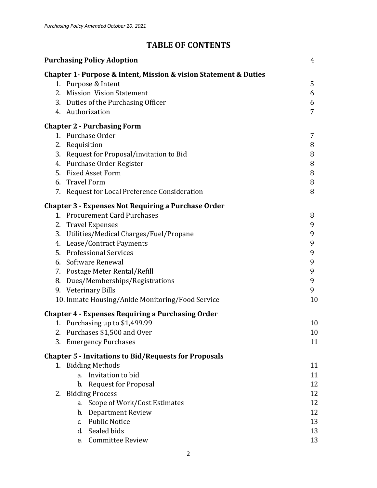## **TABLE OF CONTENTS**

| <b>Purchasing Policy Adoption</b> |                                                                  |    |  |
|-----------------------------------|------------------------------------------------------------------|----|--|
|                                   | Chapter 1- Purpose & Intent, Mission & vision Statement & Duties |    |  |
|                                   | 1. Purpose & Intent                                              | 5  |  |
|                                   | 2. Mission Vision Statement                                      | 6  |  |
|                                   | 3. Duties of the Purchasing Officer                              | 6  |  |
|                                   | 4. Authorization                                                 | 7  |  |
|                                   | <b>Chapter 2 - Purchasing Form</b>                               |    |  |
|                                   | 1. Purchase Order                                                | 7  |  |
|                                   | 2. Requisition                                                   | 8  |  |
|                                   | 3. Request for Proposal/invitation to Bid                        | 8  |  |
|                                   | 4. Purchase Order Register                                       | 8  |  |
|                                   | 5. Fixed Asset Form                                              | 8  |  |
|                                   | 6. Travel Form                                                   | 8  |  |
|                                   | 7. Request for Local Preference Consideration                    | 8  |  |
|                                   | <b>Chapter 3 - Expenses Not Requiring a Purchase Order</b>       |    |  |
|                                   | 1. Procurement Card Purchases                                    | 8  |  |
|                                   | 2. Travel Expenses                                               | 9  |  |
|                                   | 3. Utilities/Medical Charges/Fuel/Propane                        | 9  |  |
|                                   | 4. Lease/Contract Payments                                       | 9  |  |
|                                   | 5. Professional Services                                         | 9  |  |
|                                   | 6. Software Renewal                                              | 9  |  |
|                                   | 7. Postage Meter Rental/Refill                                   | 9  |  |
|                                   | 8. Dues/Memberships/Registrations                                | 9  |  |
|                                   | 9. Veterinary Bills                                              | 9  |  |
|                                   | 10. Inmate Housing/Ankle Monitoring/Food Service                 | 10 |  |
|                                   | <b>Chapter 4 - Expenses Requiring a Purchasing Order</b>         |    |  |
|                                   | 1. Purchasing up to \$1,499.99                                   | 10 |  |
|                                   | 2. Purchases \$1,500 and Over                                    | 10 |  |
|                                   | 3. Emergency Purchases                                           | 11 |  |
|                                   | <b>Chapter 5 - Invitations to Bid/Requests for Proposals</b>     |    |  |
|                                   | 1. Bidding Methods                                               | 11 |  |
|                                   | a. Invitation to bid                                             | 11 |  |
|                                   | b. Request for Proposal                                          | 12 |  |
|                                   | 2. Bidding Process                                               | 12 |  |
|                                   | Scope of Work/Cost Estimates<br>a.                               | 12 |  |
|                                   | b. Department Review                                             | 12 |  |
|                                   | <b>Public Notice</b><br>$\mathbf{c}$                             | 13 |  |
|                                   | d. Sealed bids                                                   | 13 |  |
|                                   | e. Committee Review                                              | 13 |  |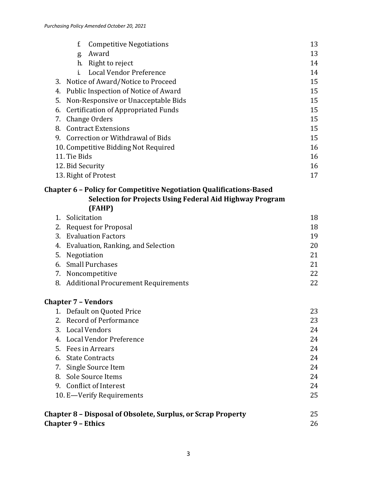| Award<br>13<br>g.<br>Right to reject<br>h.<br>14<br>Local Vendor Preference<br>i.<br>14<br>15<br>Notice of Award/Notice to Proceed<br>3.<br>Public Inspection of Notice of Award<br>15<br>4.<br>Non-Responsive or Unacceptable Bids<br>15<br>5.<br>15<br><b>Certification of Appropriated Funds</b><br>6.<br>Change Orders<br>15<br>7.<br>15<br><b>Contract Extensions</b><br>8.<br>9. Correction or Withdrawal of Bids<br>15<br>10. Competitive Bidding Not Required<br>16<br>11. Tie Bids<br>16<br>12. Bid Security<br>16<br>13. Right of Protest<br>17<br><b>Chapter 6 - Policy for Competitive Negotiation Qualifications-Based</b><br>Selection for Projects Using Federal Aid Highway Program<br>(FAHP)<br>1. Solicitation<br>18<br><b>Request for Proposal</b><br>18<br>2.<br><b>Evaluation Factors</b><br>19<br>3.<br>Evaluation, Ranking, and Selection<br>20<br>4.<br>5.<br>Negotiation<br>21<br><b>Small Purchases</b><br>21<br>6.<br>22<br>7. Noncompetitive<br>22<br>8. Additional Procurement Requirements<br><b>Chapter 7 - Vendors</b><br>1. Default on Quoted Price<br>23<br><b>Record of Performance</b><br>23<br>2.<br><b>Local Vendors</b><br>3.<br>24<br>4. Local Vendor Preference<br>24<br>5. Fees in Arrears<br>24<br><b>State Contracts</b><br>24<br>6.<br>Single Source Item<br>24<br>7.<br>8. Sole Source Items<br>24<br>9. Conflict of Interest<br>24<br>25<br>10. E-Verify Requirements<br>25<br>Chapter 8 - Disposal of Obsolete, Surplus, or Scrap Property<br><b>Chapter 9 - Ethics</b><br>26 |  | f.<br><b>Competitive Negotiations</b> | 13 |  |  |  |
|-------------------------------------------------------------------------------------------------------------------------------------------------------------------------------------------------------------------------------------------------------------------------------------------------------------------------------------------------------------------------------------------------------------------------------------------------------------------------------------------------------------------------------------------------------------------------------------------------------------------------------------------------------------------------------------------------------------------------------------------------------------------------------------------------------------------------------------------------------------------------------------------------------------------------------------------------------------------------------------------------------------------------------------------------------------------------------------------------------------------------------------------------------------------------------------------------------------------------------------------------------------------------------------------------------------------------------------------------------------------------------------------------------------------------------------------------------------------------------------------------------------------------------|--|---------------------------------------|----|--|--|--|
|                                                                                                                                                                                                                                                                                                                                                                                                                                                                                                                                                                                                                                                                                                                                                                                                                                                                                                                                                                                                                                                                                                                                                                                                                                                                                                                                                                                                                                                                                                                               |  |                                       |    |  |  |  |
|                                                                                                                                                                                                                                                                                                                                                                                                                                                                                                                                                                                                                                                                                                                                                                                                                                                                                                                                                                                                                                                                                                                                                                                                                                                                                                                                                                                                                                                                                                                               |  |                                       |    |  |  |  |
|                                                                                                                                                                                                                                                                                                                                                                                                                                                                                                                                                                                                                                                                                                                                                                                                                                                                                                                                                                                                                                                                                                                                                                                                                                                                                                                                                                                                                                                                                                                               |  |                                       |    |  |  |  |
|                                                                                                                                                                                                                                                                                                                                                                                                                                                                                                                                                                                                                                                                                                                                                                                                                                                                                                                                                                                                                                                                                                                                                                                                                                                                                                                                                                                                                                                                                                                               |  |                                       |    |  |  |  |
|                                                                                                                                                                                                                                                                                                                                                                                                                                                                                                                                                                                                                                                                                                                                                                                                                                                                                                                                                                                                                                                                                                                                                                                                                                                                                                                                                                                                                                                                                                                               |  |                                       |    |  |  |  |
|                                                                                                                                                                                                                                                                                                                                                                                                                                                                                                                                                                                                                                                                                                                                                                                                                                                                                                                                                                                                                                                                                                                                                                                                                                                                                                                                                                                                                                                                                                                               |  |                                       |    |  |  |  |
|                                                                                                                                                                                                                                                                                                                                                                                                                                                                                                                                                                                                                                                                                                                                                                                                                                                                                                                                                                                                                                                                                                                                                                                                                                                                                                                                                                                                                                                                                                                               |  |                                       |    |  |  |  |
|                                                                                                                                                                                                                                                                                                                                                                                                                                                                                                                                                                                                                                                                                                                                                                                                                                                                                                                                                                                                                                                                                                                                                                                                                                                                                                                                                                                                                                                                                                                               |  |                                       |    |  |  |  |
|                                                                                                                                                                                                                                                                                                                                                                                                                                                                                                                                                                                                                                                                                                                                                                                                                                                                                                                                                                                                                                                                                                                                                                                                                                                                                                                                                                                                                                                                                                                               |  |                                       |    |  |  |  |
|                                                                                                                                                                                                                                                                                                                                                                                                                                                                                                                                                                                                                                                                                                                                                                                                                                                                                                                                                                                                                                                                                                                                                                                                                                                                                                                                                                                                                                                                                                                               |  |                                       |    |  |  |  |
|                                                                                                                                                                                                                                                                                                                                                                                                                                                                                                                                                                                                                                                                                                                                                                                                                                                                                                                                                                                                                                                                                                                                                                                                                                                                                                                                                                                                                                                                                                                               |  |                                       |    |  |  |  |
|                                                                                                                                                                                                                                                                                                                                                                                                                                                                                                                                                                                                                                                                                                                                                                                                                                                                                                                                                                                                                                                                                                                                                                                                                                                                                                                                                                                                                                                                                                                               |  |                                       |    |  |  |  |
|                                                                                                                                                                                                                                                                                                                                                                                                                                                                                                                                                                                                                                                                                                                                                                                                                                                                                                                                                                                                                                                                                                                                                                                                                                                                                                                                                                                                                                                                                                                               |  |                                       |    |  |  |  |
|                                                                                                                                                                                                                                                                                                                                                                                                                                                                                                                                                                                                                                                                                                                                                                                                                                                                                                                                                                                                                                                                                                                                                                                                                                                                                                                                                                                                                                                                                                                               |  |                                       |    |  |  |  |
|                                                                                                                                                                                                                                                                                                                                                                                                                                                                                                                                                                                                                                                                                                                                                                                                                                                                                                                                                                                                                                                                                                                                                                                                                                                                                                                                                                                                                                                                                                                               |  |                                       |    |  |  |  |
|                                                                                                                                                                                                                                                                                                                                                                                                                                                                                                                                                                                                                                                                                                                                                                                                                                                                                                                                                                                                                                                                                                                                                                                                                                                                                                                                                                                                                                                                                                                               |  |                                       |    |  |  |  |
|                                                                                                                                                                                                                                                                                                                                                                                                                                                                                                                                                                                                                                                                                                                                                                                                                                                                                                                                                                                                                                                                                                                                                                                                                                                                                                                                                                                                                                                                                                                               |  |                                       |    |  |  |  |
|                                                                                                                                                                                                                                                                                                                                                                                                                                                                                                                                                                                                                                                                                                                                                                                                                                                                                                                                                                                                                                                                                                                                                                                                                                                                                                                                                                                                                                                                                                                               |  |                                       |    |  |  |  |
|                                                                                                                                                                                                                                                                                                                                                                                                                                                                                                                                                                                                                                                                                                                                                                                                                                                                                                                                                                                                                                                                                                                                                                                                                                                                                                                                                                                                                                                                                                                               |  |                                       |    |  |  |  |
|                                                                                                                                                                                                                                                                                                                                                                                                                                                                                                                                                                                                                                                                                                                                                                                                                                                                                                                                                                                                                                                                                                                                                                                                                                                                                                                                                                                                                                                                                                                               |  |                                       |    |  |  |  |
|                                                                                                                                                                                                                                                                                                                                                                                                                                                                                                                                                                                                                                                                                                                                                                                                                                                                                                                                                                                                                                                                                                                                                                                                                                                                                                                                                                                                                                                                                                                               |  |                                       |    |  |  |  |
|                                                                                                                                                                                                                                                                                                                                                                                                                                                                                                                                                                                                                                                                                                                                                                                                                                                                                                                                                                                                                                                                                                                                                                                                                                                                                                                                                                                                                                                                                                                               |  |                                       |    |  |  |  |
|                                                                                                                                                                                                                                                                                                                                                                                                                                                                                                                                                                                                                                                                                                                                                                                                                                                                                                                                                                                                                                                                                                                                                                                                                                                                                                                                                                                                                                                                                                                               |  |                                       |    |  |  |  |
|                                                                                                                                                                                                                                                                                                                                                                                                                                                                                                                                                                                                                                                                                                                                                                                                                                                                                                                                                                                                                                                                                                                                                                                                                                                                                                                                                                                                                                                                                                                               |  |                                       |    |  |  |  |
|                                                                                                                                                                                                                                                                                                                                                                                                                                                                                                                                                                                                                                                                                                                                                                                                                                                                                                                                                                                                                                                                                                                                                                                                                                                                                                                                                                                                                                                                                                                               |  |                                       |    |  |  |  |
|                                                                                                                                                                                                                                                                                                                                                                                                                                                                                                                                                                                                                                                                                                                                                                                                                                                                                                                                                                                                                                                                                                                                                                                                                                                                                                                                                                                                                                                                                                                               |  |                                       |    |  |  |  |
|                                                                                                                                                                                                                                                                                                                                                                                                                                                                                                                                                                                                                                                                                                                                                                                                                                                                                                                                                                                                                                                                                                                                                                                                                                                                                                                                                                                                                                                                                                                               |  |                                       |    |  |  |  |
|                                                                                                                                                                                                                                                                                                                                                                                                                                                                                                                                                                                                                                                                                                                                                                                                                                                                                                                                                                                                                                                                                                                                                                                                                                                                                                                                                                                                                                                                                                                               |  |                                       |    |  |  |  |
|                                                                                                                                                                                                                                                                                                                                                                                                                                                                                                                                                                                                                                                                                                                                                                                                                                                                                                                                                                                                                                                                                                                                                                                                                                                                                                                                                                                                                                                                                                                               |  |                                       |    |  |  |  |
|                                                                                                                                                                                                                                                                                                                                                                                                                                                                                                                                                                                                                                                                                                                                                                                                                                                                                                                                                                                                                                                                                                                                                                                                                                                                                                                                                                                                                                                                                                                               |  |                                       |    |  |  |  |
|                                                                                                                                                                                                                                                                                                                                                                                                                                                                                                                                                                                                                                                                                                                                                                                                                                                                                                                                                                                                                                                                                                                                                                                                                                                                                                                                                                                                                                                                                                                               |  |                                       |    |  |  |  |
|                                                                                                                                                                                                                                                                                                                                                                                                                                                                                                                                                                                                                                                                                                                                                                                                                                                                                                                                                                                                                                                                                                                                                                                                                                                                                                                                                                                                                                                                                                                               |  |                                       |    |  |  |  |
|                                                                                                                                                                                                                                                                                                                                                                                                                                                                                                                                                                                                                                                                                                                                                                                                                                                                                                                                                                                                                                                                                                                                                                                                                                                                                                                                                                                                                                                                                                                               |  |                                       |    |  |  |  |
|                                                                                                                                                                                                                                                                                                                                                                                                                                                                                                                                                                                                                                                                                                                                                                                                                                                                                                                                                                                                                                                                                                                                                                                                                                                                                                                                                                                                                                                                                                                               |  |                                       |    |  |  |  |
|                                                                                                                                                                                                                                                                                                                                                                                                                                                                                                                                                                                                                                                                                                                                                                                                                                                                                                                                                                                                                                                                                                                                                                                                                                                                                                                                                                                                                                                                                                                               |  |                                       |    |  |  |  |
|                                                                                                                                                                                                                                                                                                                                                                                                                                                                                                                                                                                                                                                                                                                                                                                                                                                                                                                                                                                                                                                                                                                                                                                                                                                                                                                                                                                                                                                                                                                               |  |                                       |    |  |  |  |
|                                                                                                                                                                                                                                                                                                                                                                                                                                                                                                                                                                                                                                                                                                                                                                                                                                                                                                                                                                                                                                                                                                                                                                                                                                                                                                                                                                                                                                                                                                                               |  |                                       |    |  |  |  |
|                                                                                                                                                                                                                                                                                                                                                                                                                                                                                                                                                                                                                                                                                                                                                                                                                                                                                                                                                                                                                                                                                                                                                                                                                                                                                                                                                                                                                                                                                                                               |  |                                       |    |  |  |  |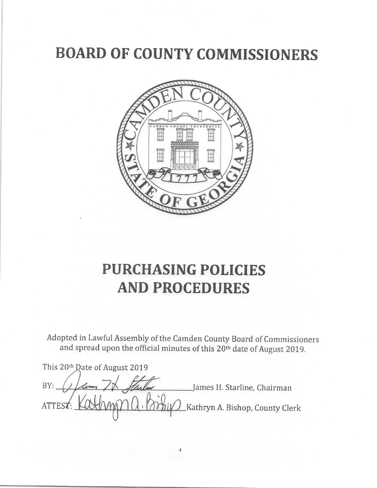# **BOARD OF COUNTY COMMISSIONERS**



# **PURCHASING POLICIES AND PROCEDURES**

Adopted in Lawful Assembly of the Camden County Board of Commissioners and spread upon the official minutes of this 20<sup>th</sup> date of August 2019.

This 20th Date of August 2019 BY: James H. Starline, Chairman **ATTES** Kathryn A. Bishop, County Clerk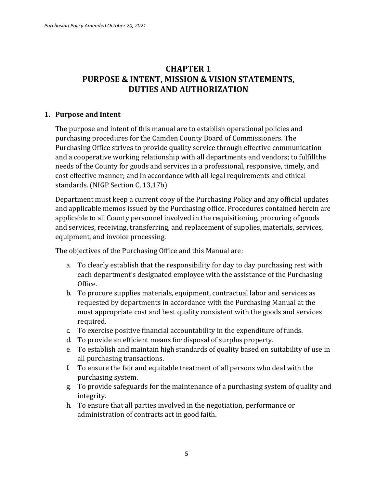## **CHAPTER 1 PURPOSE & INTENT, MISSION & VISION STATEMENTS, DUTIES AND AUTHORIZATION**

#### **1. Purpose and Intent**

The purpose and intent of this manual are to establish operational policies and purchasing procedures for the Camden County Board of Commissioners. The Purchasing Office strives to provide quality service through effective communication and a cooperative working relationship with all departments and vendors; to fulfillthe needs of the County for goods and services in a professional, responsive, timely, and cost effective manner; and in accordance with all legal requirements and ethical standards. (NIGP Section C, 13,17b)

Department must keep a current copy of the Purchasing Policy and any official updates and applicable memos issued by the Purchasing office. Procedures contained herein are applicable to all County personnel involved in the requisitioning, procuring of goods and services, receiving, transferring, and replacement of supplies, materials, services, equipment, and invoice processing.

The objectives of the Purchasing Office and this Manual are:

- a. To clearly establish that the responsibility for day to day purchasing rest with each department's designated employee with the assistance of the Purchasing Office.
- b. To procure supplies materials, equipment, contractual labor and services as requested by departments in accordance with the Purchasing Manual at the most appropriate cost and best quality consistent with the goods and services required.
- c. To exercise positive financial accountability in the expenditure of funds.
- d. To provide an efficient means for disposal of surplus property.
- e. To establish and maintain high standards of quality based on suitability of use in all purchasing transactions.
- f. To ensure the fair and equitable treatment of all persons who deal with the purchasing system.
- g. To provide safeguards for the maintenance of a purchasing system of quality and integrity.
- h. To ensure that all parties involved in the negotiation, performance or administration of contracts act in good faith.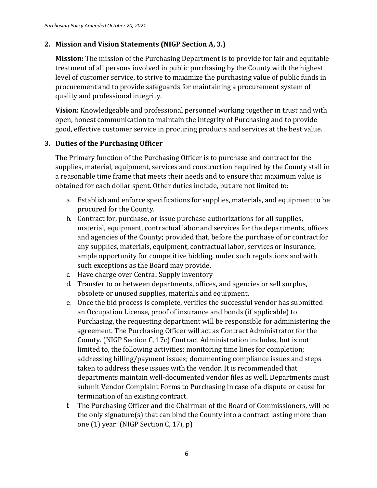## **2. Mission and Vision Statements (NIGP Section A, 3.)**

**Mission:** The mission of the Purchasing Department is to provide for fair and equitable treatment of all persons involved in public purchasing by the County with the highest level of customer service, to strive to maximize the purchasing value of public funds in procurement and to provide safeguards for maintaining a procurement system of quality and professional integrity.

**Vision:** Knowledgeable and professional personnel working together in trust and with open, honest communication to maintain the integrity of Purchasing and to provide good, effective customer service in procuring products and services at the best value.

### **3. Duties of the Purchasing Officer**

The Primary function of the Purchasing Officer is to purchase and contract for the supplies, material, equipment, services and construction required by the County stall in a reasonable time frame that meets their needs and to ensure that maximum value is obtained for each dollar spent. Other duties include, but are not limited to:

- a. Establish and enforce specifications for supplies, materials, and equipment to be procured for the County.
- b. Contract for, purchase, or issue purchase authorizations for all supplies, material, equipment, contractual labor and services for the departments, offices and agencies of the County; provided that, before the purchase of or contractfor any supplies, materials, equipment, contractual labor, services or insurance, ample opportunity for competitive bidding, under such regulations and with such exceptions as the Board may provide.
- c. Have charge over Central Supply Inventory
- d. Transfer to or between departments, offices, and agencies or sell surplus, obsolete or unused supplies, materials and equipment.
- e. Once the bid process is complete, verifies the successful vendor has submitted an Occupation License, proof of insurance and bonds (if applicable) to Purchasing, the requesting department will be responsible for administering the agreement. The Purchasing Officer will act as Contract Administrator for the County. (NIGP Section C, 17c) Contract Administration includes, but is not limited to, the following activities: monitoring time lines for completion; addressing billing/payment issues; documenting compliance issues and steps taken to address these issues with the vendor. It is recommended that departments maintain well-documented vendor files as well. Departments must submit Vendor Complaint Forms to Purchasing in case of a dispute or cause for termination of an existing contract.
- f. The Purchasing Officer and the Chairman of the Board of Commissioners, will be the only signature(s) that can bind the County into a contract lasting more than one (1) year: (NIGP Section C, 17i, p)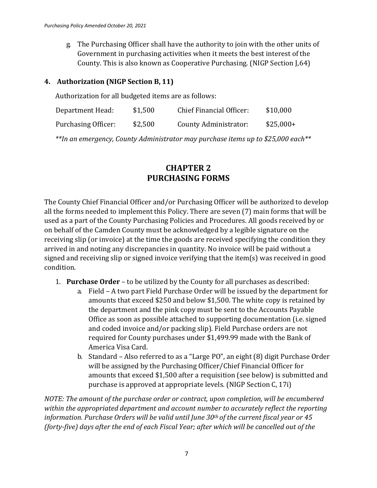g. The Purchasing Officer shall have the authority to join with the other units of Government in purchasing activities when it meets the best interest of the County. This is also known as Cooperative Purchasing. (NIGP Section J,64)

### **4. Authorization (NIGP Section B, 11)**

Authorization for all budgeted items are as follows:

| Department Head:    | \$1,500 | <b>Chief Financial Officer:</b> | \$10,000   |
|---------------------|---------|---------------------------------|------------|
| Purchasing Officer: | \$2,500 | County Administrator:           | $$25,000+$ |

*\*\*In an emergency, County Administrator may purchase items up to \$25,000 each\*\**

## **CHAPTER 2 PURCHASING FORMS**

The County Chief Financial Officer and/or Purchasing Officer will be authorized to develop all the forms needed to implement this Policy. There are seven (7) main forms that will be used as a part of the County Purchasing Policies and Procedures. All goods received by or on behalf of the Camden County must be acknowledged by a legible signature on the receiving slip (or invoice) at the time the goods are received specifying the condition they arrived in and noting any discrepancies in quantity. No invoice will be paid without a signed and receiving slip or signed invoice verifying that the item(s) was received in good condition.

- 1. **Purchase Order**  to be utilized by the County for all purchases as described:
	- a. Field A two part Field Purchase Order will be issued by the department for amounts that exceed \$250 and below \$1,500. The white copy is retained by the department and the pink copy must be sent to the Accounts Payable Office as soon as possible attached to supporting documentation (i.e. signed and coded invoice and/or packing slip). Field Purchase orders are not required for County purchases under \$1,499.99 made with the Bank of America Visa Card.
	- b. Standard Also referred to as a "Large PO", an eight (8) digit Purchase Order will be assigned by the Purchasing Officer/Chief Financial Officer for amounts that exceed \$1,500 after a requisition (see below) is submitted and purchase is approved at appropriate levels. (NIGP Section C, 17i)

*NOTE: The amount of the purchase order or contract, upon completion, will be encumbered within the appropriated department and account number to accurately reflect the reporting information. Purchase Orders will be valid until June 30th of the current fiscal year or 45 (forty-five) days after the end of each Fiscal Year; after which will be cancelled out of the*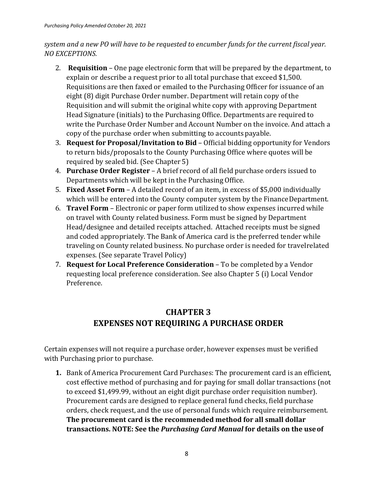## *system and a new PO will have to be requested to encumber funds for the current fiscal year. NO EXCEPTIONS.*

- 2. **Requisition**  One page electronic form that will be prepared by the department, to explain or describe a request prior to all total purchase that exceed \$1,500. Requisitions are then faxed or emailed to the Purchasing Officer for issuance of an eight (8) digit Purchase Order number. Department will retain copy of the Requisition and will submit the original white copy with approving Department Head Signature (initials) to the Purchasing Office. Departments are required to write the Purchase Order Number and Account Number on the invoice. And attach a copy of the purchase order when submitting to accounts payable.
- 3. **Request for Proposal/Invitation to Bid**  Official bidding opportunity for Vendors to return bids/proposals to the County Purchasing Office where quotes will be required by sealed bid. (See Chapter 5)
- 4. **Purchase Order Register**  A brief record of all field purchase orders issued to Departments which will be kept in the Purchasing Office.
- 5. **Fixed Asset Form**  A detailed record of an item, in excess of \$5,000 individually which will be entered into the County computer system by the Finance Department.
- 6. **Travel Form**  Electronic or paper form utilized to show expenses incurred while on travel with County related business. Form must be signed by Department Head/designee and detailed receipts attached. Attached receipts must be signed and coded appropriately. The Bank of America card is the preferred tender while traveling on County related business. No purchase order is needed for travelrelated expenses. (See separate Travel Policy)
- 7. **Request for Local Preference Consideration**  To be completed by a Vendor requesting local preference consideration. See also Chapter 5 (i) Local Vendor Preference.

# **CHAPTER 3 EXPENSES NOT REQUIRING A PURCHASE ORDER**

Certain expenses will not require a purchase order, however expenses must be verified with Purchasing prior to purchase.

**1.** Bank of America Procurement Card Purchases: The procurement card is an efficient, cost effective method of purchasing and for paying for small dollar transactions (not to exceed \$1,499.99, without an eight digit purchase order requisition number). Procurement cards are designed to replace general fund checks, field purchase orders, check request, and the use of personal funds which require reimbursement. **The procurement card is the recommended method for all small dollar transactions. NOTE: See the** *Purchasing Card Manual* **for details on the useof**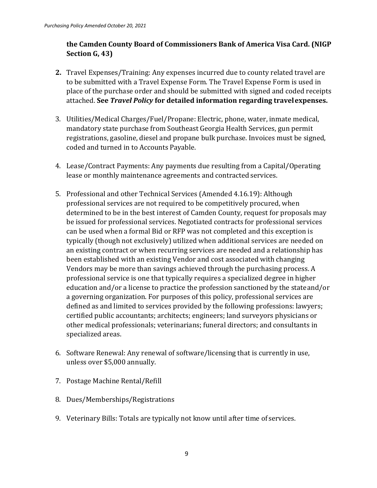## **the Camden County Board of Commissioners Bank of America Visa Card. (NIGP Section G, 43)**

- **2.** Travel Expenses/Training: Any expenses incurred due to county related travel are to be submitted with a Travel Expense Form. The Travel Expense Form is used in place of the purchase order and should be submitted with signed and coded receipts attached. **See** *Travel Policy* **for detailed information regarding travelexpenses.**
- 3. Utilities/Medical Charges/Fuel/Propane: Electric, phone, water, inmate medical, mandatory state purchase from Southeast Georgia Health Services, gun permit registrations, gasoline, diesel and propane bulk purchase. Invoices must be signed, coded and turned in to Accounts Payable.
- 4. Lease/Contract Payments: Any payments due resulting from a Capital/Operating lease or monthly maintenance agreements and contracted services.
- 5. Professional and other Technical Services (Amended 4.16.19): Although professional services are not required to be competitively procured, when determined to be in the best interest of Camden County, request for proposals may be issued for professional services. Negotiated contracts for professional services can be used when a formal Bid or RFP was not completed and this exception is typically (though not exclusively) utilized when additional services are needed on an existing contract or when recurring services are needed and a relationship has been established with an existing Vendor and cost associated with changing Vendors may be more than savings achieved through the purchasing process. A professional service is one that typically requires a specialized degree in higher education and/or a license to practice the profession sanctioned by the stateand/or a governing organization. For purposes of this policy, professional services are defined as and limited to services provided by the following professions: lawyers; certified public accountants; architects; engineers; land surveyors physicians or other medical professionals; veterinarians; funeral directors; and consultants in specialized areas.
- 6. Software Renewal: Any renewal of software/licensing that is currently in use, unless over \$5,000 annually.
- 7. Postage Machine Rental/Refill
- 8. Dues/Memberships/Registrations
- 9. Veterinary Bills: Totals are typically not know until after time of services.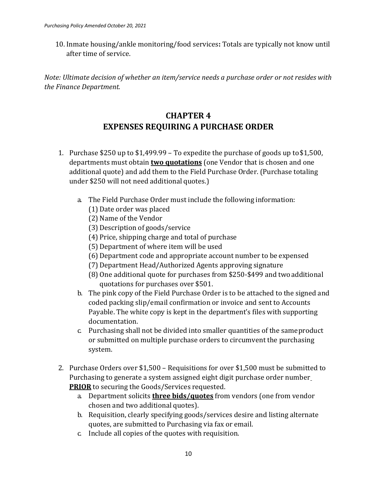10. Inmate housing/ankle monitoring/food services**:** Totals are typically not know until after time of service.

*Note: Ultimate decision of whether an item/service needs a purchase order or not resides with the Finance Department.*

## **CHAPTER 4 EXPENSES REQUIRING A PURCHASE ORDER**

- 1. Purchase \$250 up to \$1,499.99 To expedite the purchase of goods up to\$1,500, departments must obtain **two quotations** (one Vendor that is chosen and one additional quote) and add them to the Field Purchase Order. (Purchase totaling under \$250 will not need additional quotes.)
	- a. The Field Purchase Order must include the following information:
		- (1) Date order was placed
		- (2) Name of the Vendor
		- (3) Description of goods/service
		- (4) Price, shipping charge and total of purchase
		- (5) Department of where item will be used
		- (6) Department code and appropriate account number to be expensed
		- (7) Department Head/Authorized Agents approving signature
		- (8) One additional quote for purchases from \$250-\$499 and twoadditional quotations for purchases over \$501.
	- b. The pink copy of the Field Purchase Order is to be attached to the signed and coded packing slip/email confirmation or invoice and sent to Accounts Payable. The white copy is kept in the department's files with supporting documentation.
	- c. Purchasing shall not be divided into smaller quantities of the sameproduct or submitted on multiple purchase orders to circumvent the purchasing system.
- 2. Purchase Orders over \$1,500 Requisitions for over \$1,500 must be submitted to Purchasing to generate a system assigned eight digit purchase order number **PRIOR** to securing the Goods/Services requested.
	- a. Department solicits **three bids/quotes** from vendors (one from vendor chosen and two additional quotes).
	- b. Requisition, clearly specifying goods/services desire and listing alternate quotes, are submitted to Purchasing via fax or email.
	- c. Include all copies of the quotes with requisition.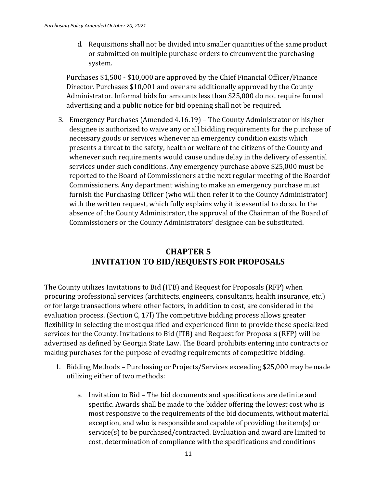d. Requisitions shall not be divided into smaller quantities of the sameproduct or submitted on multiple purchase orders to circumvent the purchasing system.

Purchases \$1,500 - \$10,000 are approved by the Chief Financial Officer/Finance Director. Purchases \$10,001 and over are additionally approved by the County Administrator. Informal bids for amounts less than \$25,000 do not require formal advertising and a public notice for bid opening shall not be required.

3. Emergency Purchases (Amended 4.16.19) – The County Administrator or his/her designee is authorized to waive any or all bidding requirements for the purchase of necessary goods or services whenever an emergency condition exists which presents a threat to the safety, health or welfare of the citizens of the County and whenever such requirements would cause undue delay in the delivery of essential services under such conditions. Any emergency purchase above \$25,000 must be reported to the Board of Commissioners at the next regular meeting of the Boardof Commissioners. Any department wishing to make an emergency purchase must furnish the Purchasing Officer (who will then refer it to the County Administrator) with the written request, which fully explains why it is essential to do so. In the absence of the County Administrator, the approval of the Chairman of the Board of Commissioners or the County Administrators' designee can be substituted.

## **CHAPTER 5 INVITATION TO BID/REQUESTS FOR PROPOSALS**

The County utilizes Invitations to Bid (ITB) and Request for Proposals (RFP) when procuring professional services (architects, engineers, consultants, health insurance, etc.) or for large transactions where other factors, in addition to cost, are considered in the evaluation process. (Section C, 17l) The competitive bidding process allows greater flexibility in selecting the most qualified and experienced firm to provide these specialized services for the County. Invitations to Bid (ITB) and Request for Proposals (RFP) will be advertised as defined by Georgia State Law. The Board prohibits entering into contracts or making purchases for the purpose of evading requirements of competitive bidding.

- 1. Bidding Methods Purchasing or Projects/Services exceeding \$25,000 may bemade utilizing either of two methods:
	- a. Invitation to Bid The bid documents and specifications are definite and specific. Awards shall be made to the bidder offering the lowest cost who is most responsive to the requirements of the bid documents, without material exception, and who is responsible and capable of providing the item(s) or service(s) to be purchased/contracted. Evaluation and award are limited to cost, determination of compliance with the specifications and conditions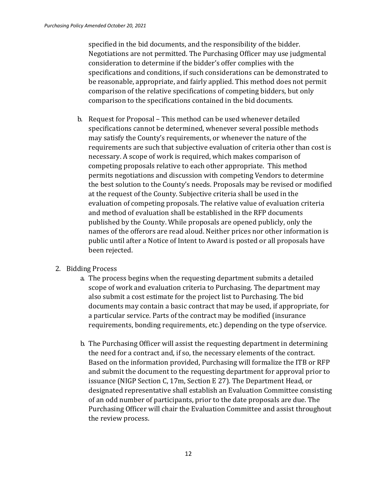specified in the bid documents, and the responsibility of the bidder. Negotiations are not permitted. The Purchasing Officer may use judgmental consideration to determine if the bidder's offer complies with the specifications and conditions, if such considerations can be demonstrated to be reasonable, appropriate, and fairly applied. This method does not permit comparison of the relative specifications of competing bidders, but only comparison to the specifications contained in the bid documents.

- b. Request for Proposal This method can be used whenever detailed specifications cannot be determined, whenever several possible methods may satisfy the County's requirements, or whenever the nature of the requirements are such that subjective evaluation of criteria other than cost is necessary. A scope of work is required, which makes comparison of competing proposals relative to each other appropriate. This method permits negotiations and discussion with competing Vendors to determine the best solution to the County's needs. Proposals may be revised or modified at the request of the County. Subjective criteria shall be used in the evaluation of competing proposals. The relative value of evaluation criteria and method of evaluation shall be established in the RFP documents published by the County. While proposals are opened publicly, only the names of the offerors are read aloud. Neither prices nor other information is public until after a Notice of Intent to Award is posted or all proposals have been rejected.
- 2. Bidding Process
	- a. The process begins when the requesting department submits a detailed scope of work and evaluation criteria to Purchasing. The department may also submit a cost estimate for the project list to Purchasing. The bid documents may contain a basic contract that may be used, if appropriate, for a particular service. Parts of the contract may be modified (insurance requirements, bonding requirements, etc.) depending on the type ofservice.
	- b. The Purchasing Officer will assist the requesting department in determining the need for a contract and, if so, the necessary elements of the contract. Based on the information provided, Purchasing will formalize the ITB or RFP and submit the document to the requesting department for approval prior to issuance (NIGP Section C, 17m, Section E 27). The Department Head, or designated representative shall establish an Evaluation Committee consisting of an odd number of participants, prior to the date proposals are due. The Purchasing Officer will chair the Evaluation Committee and assist throughout the review process.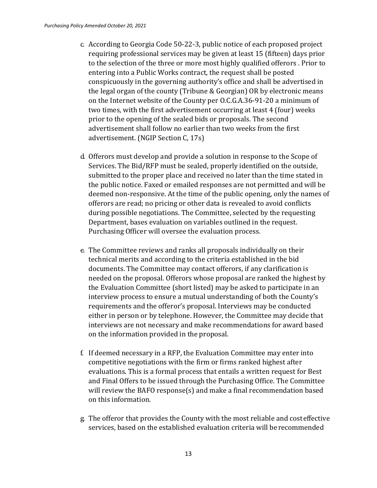- c. According to Georgia Code 50-22-3, public notice of each proposed project requiring professional services may be given at least 15 (fifteen) days prior to the selection of the three or more most highly qualified offerors . Prior to entering into a Public Works contract, the request shall be posted conspicuously in the governing authority's office and shall be advertised in the legal organ of the county (Tribune & Georgian) OR by electronic means on the Internet website of the County per O.C.G.A.36-91-20 a minimum of two times, with the first advertisement occurring at least 4 (four) weeks prior to the opening of the sealed bids or proposals. The second advertisement shall follow no earlier than two weeks from the first advertisement. (NGIP Section C, 17s)
- d. Offerors must develop and provide a solution in response to the Scope of Services. The Bid/RFP must be sealed, properly identified on the outside, submitted to the proper place and received no later than the time stated in the public notice. Faxed or emailed responses are not permitted and will be deemed non-responsive. At the time of the public opening, only the names of offerors are read; no pricing or other data is revealed to avoid conflicts during possible negotiations. The Committee, selected by the requesting Department, bases evaluation on variables outlined in the request. Purchasing Officer will oversee the evaluation process.
- e. The Committee reviews and ranks all proposals individually on their technical merits and according to the criteria established in the bid documents. The Committee may contact offerors, if any clarification is needed on the proposal. Offerors whose proposal are ranked the highest by the Evaluation Committee (short listed) may be asked to participate in an interview process to ensure a mutual understanding of both the County's requirements and the offeror's proposal. Interviews may be conducted either in person or by telephone. However, the Committee may decide that interviews are not necessary and make recommendations for award based on the information provided in the proposal.
- f. If deemed necessary in a RFP, the Evaluation Committee may enter into competitive negotiations with the firm or firms ranked highest after evaluations. This is a formal process that entails a written request for Best and Final Offers to be issued through the Purchasing Office. The Committee will review the BAFO response(s) and make a final recommendation based on this information.
- g. The offeror that provides the County with the most reliable and costeffective services, based on the established evaluation criteria will be recommended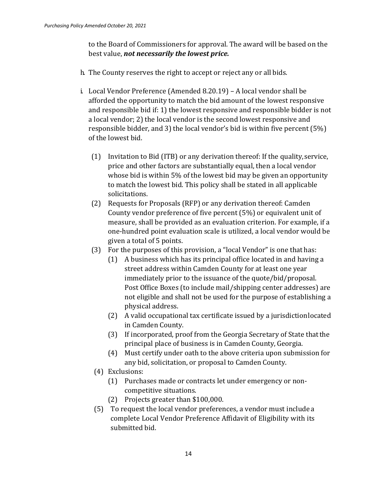to the Board of Commissioners for approval. The award will be based on the best value, *not necessarily the lowest price.*

- h. The County reserves the right to accept or reject any or all bids.
- i. Local Vendor Preference (Amended 8.20.19) A local vendor shall be afforded the opportunity to match the bid amount of the lowest responsive and responsible bid if: 1) the lowest responsive and responsible bidder is not a local vendor; 2) the local vendor is the second lowest responsive and responsible bidder, and 3) the local vendor's bid is within five percent (5%) of the lowest bid.
	- (1) Invitation to Bid (ITB) or any derivation thereof: If the quality,service, price and other factors are substantially equal, then a local vendor whose bid is within 5% of the lowest bid may be given an opportunity to match the lowest bid. This policy shall be stated in all applicable solicitations.
	- (2) Requests for Proposals (RFP) or any derivation thereof: Camden County vendor preference of five percent (5%) or equivalent unit of measure, shall be provided as an evaluation criterion. For example, if a one-hundred point evaluation scale is utilized, a local vendor would be given a total of 5 points.
	- (3) For the purposes of this provision, a "local Vendor" is one that has:
		- (1) A business which has its principal office located in and having a street address within Camden County for at least one year immediately prior to the issuance of the quote/bid/proposal. Post Office Boxes (to include mail/shipping center addresses) are not eligible and shall not be used for the purpose of establishing a physical address.
		- (2) A valid occupational tax certificate issued by a jurisdictionlocated in Camden County.
		- (3) If incorporated, proof from the Georgia Secretary of State thatthe principal place of business is in Camden County, Georgia.
		- (4) Must certify under oath to the above criteria upon submission for any bid, solicitation, or proposal to Camden County.
	- (4) Exclusions:
		- (1) Purchases made or contracts let under emergency or noncompetitive situations.
		- (2) Projects greater than \$100,000.
	- (5) To request the local vendor preferences, a vendor must include a complete Local Vendor Preference Affidavit of Eligibility with its submitted bid.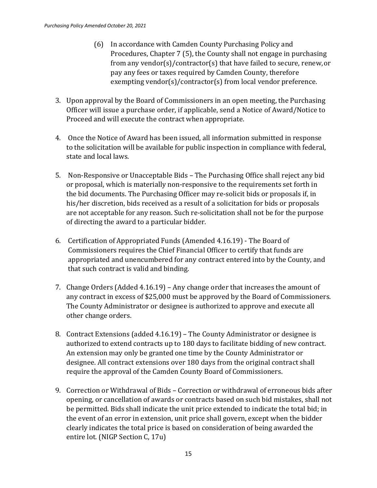- (6) In accordance with Camden County Purchasing Policy and Procedures, Chapter 7 (5), the County shall not engage in purchasing from any vendor(s)/contractor(s) that have failed to secure, renew,or pay any fees or taxes required by Camden County, therefore exempting vendor(s)/contractor(s) from local vendor preference.
- 3. Upon approval by the Board of Commissioners in an open meeting, the Purchasing Officer will issue a purchase order, if applicable, send a Notice of Award/Notice to Proceed and will execute the contract when appropriate.
- 4. Once the Notice of Award has been issued, all information submitted in response to the solicitation will be available for public inspection in compliance with federal, state and local laws.
- 5. Non-Responsive or Unacceptable Bids The Purchasing Office shall reject any bid or proposal, which is materially non-responsive to the requirements set forth in the bid documents. The Purchasing Officer may re-solicit bids or proposals if, in his/her discretion, bids received as a result of a solicitation for bids or proposals are not acceptable for any reason. Such re-solicitation shall not be for the purpose of directing the award to a particular bidder.
- 6. Certification of Appropriated Funds (Amended 4.16.19) The Board of Commissioners requires the Chief Financial Officer to certify that funds are appropriated and unencumbered for any contract entered into by the County, and that such contract is valid and binding.
- 7. Change Orders (Added 4.16.19) Any change order that increases the amount of any contract in excess of \$25,000 must be approved by the Board of Commissioners. The County Administrator or designee is authorized to approve and execute all other change orders.
- 8. Contract Extensions (added 4.16.19) The County Administrator or designee is authorized to extend contracts up to 180 days to facilitate bidding of new contract. An extension may only be granted one time by the County Administrator or designee. All contract extensions over 180 days from the original contract shall require the approval of the Camden County Board of Commissioners.
- 9. Correction or Withdrawal of Bids Correction or withdrawal of erroneous bids after opening, or cancellation of awards or contracts based on such bid mistakes, shall not be permitted. Bids shall indicate the unit price extended to indicate the total bid; in the event of an error in extension, unit price shall govern, except when the bidder clearly indicates the total price is based on consideration of being awarded the entire lot. (NIGP Section C, 17u)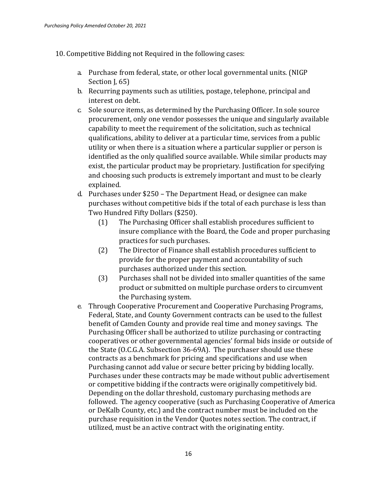- 10. Competitive Bidding not Required in the following cases:
	- a. Purchase from federal, state, or other local governmental units. (NIGP Section J, 65)
	- b. Recurring payments such as utilities, postage, telephone, principal and interest on debt.
	- c. Sole source items, as determined by the Purchasing Officer. In sole source procurement, only one vendor possesses the unique and singularly available capability to meet the requirement of the solicitation, such as technical qualifications, ability to deliver at a particular time, services from a public utility or when there is a situation where a particular supplier or person is identified as the only qualified source available. While similar products may exist, the particular product may be proprietary. Justification for specifying and choosing such products is extremely important and must to be clearly explained.
	- d. Purchases under \$250 The Department Head, or designee can make purchases without competitive bids if the total of each purchase is less than Two Hundred Fifty Dollars (\$250).
		- (1) The Purchasing Officer shall establish procedures sufficient to insure compliance with the Board, the Code and proper purchasing practices for such purchases.
		- (2) The Director of Finance shall establish procedures sufficient to provide for the proper payment and accountability of such purchases authorized under this section.
		- (3) Purchases shall not be divided into smaller quantities of the same product or submitted on multiple purchase orders to circumvent the Purchasing system.
	- e. Through Cooperative Procurement and Cooperative Purchasing Programs, Federal, State, and County Government contracts can be used to the fullest benefit of Camden County and provide real time and money savings. The Purchasing Officer shall be authorized to utilize purchasing or contracting cooperatives or other governmental agencies' formal bids inside or outside of the State (O.C.G.A. Subsection 36-69A). The purchaser should use these contracts as a benchmark for pricing and specifications and use when Purchasing cannot add value or secure better pricing by bidding locally. Purchases under these contracts may be made without public advertisement or competitive bidding if the contracts were originally competitively bid. Depending on the dollar threshold, customary purchasing methods are followed. The agency cooperative (such as Purchasing Cooperative of America or DeKalb County, etc.) and the contract number must be included on the purchase requisition in the Vendor Quotes notes section. The contract, if utilized, must be an active contract with the originating entity.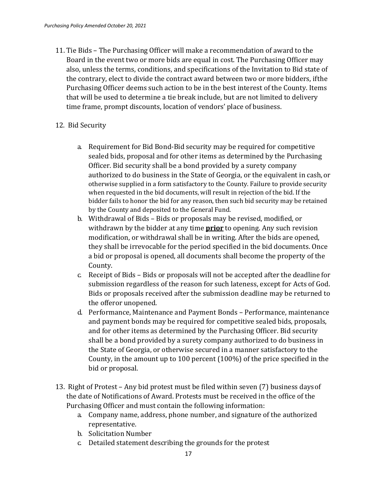11. Tie Bids – The Purchasing Officer will make a recommendation of award to the Board in the event two or more bids are equal in cost. The Purchasing Officer may also, unless the terms, conditions, and specifications of the Invitation to Bid state of the contrary, elect to divide the contract award between two or more bidders, ifthe Purchasing Officer deems such action to be in the best interest of the County. Items that will be used to determine a tie break include, but are not limited to delivery time frame, prompt discounts, location of vendors' place of business.

#### 12. Bid Security

- a. Requirement for Bid Bond-Bid security may be required for competitive sealed bids, proposal and for other items as determined by the Purchasing Officer. Bid security shall be a bond provided by a surety company authorized to do business in the State of Georgia, or the equivalent in cash,or otherwise supplied in a form satisfactory to the County. Failure to provide security when requested in the bid documents, will result in rejection of the bid. If the bidder fails to honor the bid for any reason, then such bid security may be retained by the County and deposited to the General Fund.
- b. Withdrawal of Bids Bids or proposals may be revised, modified, or withdrawn by the bidder at any time **prior** to opening. Any such revision modification, or withdrawal shall be in writing. After the bids are opened, they shall be irrevocable for the period specified in the bid documents. Once a bid or proposal is opened, all documents shall become the property of the County.
- c. Receipt of Bids Bids or proposals will not be accepted after the deadline for submission regardless of the reason for such lateness, except for Acts of God. Bids or proposals received after the submission deadline may be returned to the offeror unopened.
- d. Performance, Maintenance and Payment Bonds Performance, maintenance and payment bonds may be required for competitive sealed bids, proposals, and for other items as determined by the Purchasing Officer. Bid security shall be a bond provided by a surety company authorized to do business in the State of Georgia, or otherwise secured in a manner satisfactory to the County, in the amount up to 100 percent (100%) of the price specified in the bid or proposal.
- 13. Right of Protest Any bid protest must be filed within seven (7) business daysof the date of Notifications of Award. Protests must be received in the office of the Purchasing Officer and must contain the following information:
	- a. Company name, address, phone number, and signature of the authorized representative.
	- b. Solicitation Number
	- c. Detailed statement describing the grounds for the protest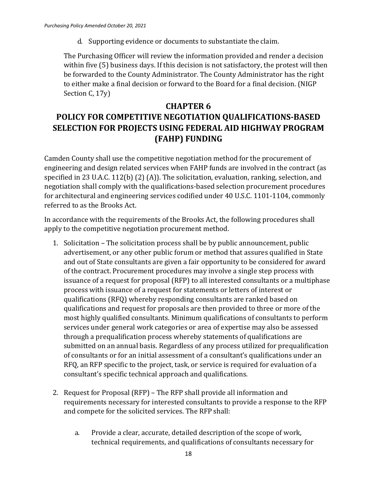d. Supporting evidence or documents to substantiate the claim.

The Purchasing Officer will review the information provided and render a decision within five (5) business days. If this decision is not satisfactory, the protest will then be forwarded to the County Administrator. The County Administrator has the right to either make a final decision or forward to the Board for a final decision. (NIGP Section C, 17y)

## **CHAPTER 6 POLICY FOR COMPETITIVE NEGOTIATION QUALIFICATIONS-BASED SELECTION FOR PROJECTS USING FEDERAL AID HIGHWAY PROGRAM (FAHP) FUNDING**

Camden County shall use the competitive negotiation method for the procurement of engineering and design related services when FAHP funds are involved in the contract (as specified in 23 U.A.C. 112(b) (2) (A)). The solicitation, evaluation, ranking, selection, and negotiation shall comply with the qualifications-based selection procurement procedures for architectural and engineering services codified under 40 U.S.C. 1101-1104, commonly referred to as the Brooks Act.

In accordance with the requirements of the Brooks Act, the following procedures shall apply to the competitive negotiation procurement method.

- 1. Solicitation The solicitation process shall be by public announcement, public advertisement, or any other public forum or method that assures qualified in State and out of State consultants are given a fair opportunity to be considered for award of the contract. Procurement procedures may involve a single step process with issuance of a request for proposal (RFP) to all interested consultants or a multiphase process with issuance of a request for statements or letters of interest or qualifications (RFQ) whereby responding consultants are ranked based on qualifications and request for proposals are then provided to three or more of the most highly qualified consultants. Minimum qualifications of consultants to perform services under general work categories or area of expertise may also be assessed through a prequalification process whereby statements of qualifications are submitted on an annual basis. Regardless of any process utilized for prequalification of consultants or for an initial assessment of a consultant's qualifications under an RFQ, an RFP specific to the project, task, or service is required for evaluation of a consultant's specific technical approach and qualifications.
- 2. Request for Proposal (RFP) The RFP shall provide all information and requirements necessary for interested consultants to provide a response to the RFP and compete for the solicited services. The RFP shall:
	- a. Provide a clear, accurate, detailed description of the scope of work, technical requirements, and qualifications of consultants necessary for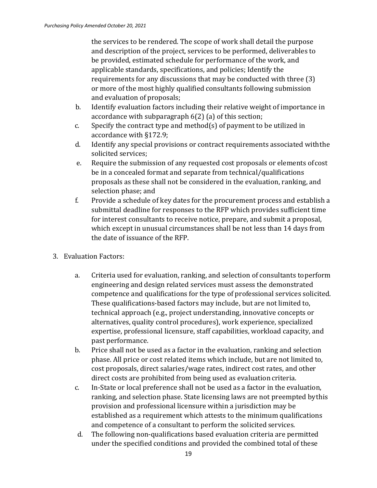the services to be rendered. The scope of work shall detail the purpose and description of the project, services to be performed, deliverables to be provided, estimated schedule for performance of the work, and applicable standards, specifications, and policies; Identify the requirements for any discussions that may be conducted with three (3) or more of the most highly qualified consultants following submission and evaluation of proposals;

- b. Identify evaluation factors including their relative weight of importance in accordance with subparagraph 6(2) (a) of this section;
- c. Specify the contract type and method(s) of payment to be utilized in accordance with §172.9;
- d. Identify any special provisions or contract requirements associated withthe solicited services;
- e. Require the submission of any requested cost proposals or elements ofcost be in a concealed format and separate from technical/qualifications proposals as these shall not be considered in the evaluation, ranking, and selection phase; and
- f. Provide a schedule of key dates for the procurement process and establish a submittal deadline for responses to the RFP which provides sufficient time for interest consultants to receive notice, prepare, and submit a proposal, which except in unusual circumstances shall be not less than 14 days from the date of issuance of the RFP.
- 3. Evaluation Factors:
	- a. Criteria used for evaluation, ranking, and selection of consultants toperform engineering and design related services must assess the demonstrated competence and qualifications for the type of professional services solicited. These qualifications-based factors may include, but are not limited to, technical approach (e.g., project understanding, innovative concepts or alternatives, quality control procedures), work experience, specialized expertise, professional licensure, staff capabilities, workload capacity, and past performance.
	- b. Price shall not be used as a factor in the evaluation, ranking and selection phase. All price or cost related items which include, but are not limited to, cost proposals, direct salaries/wage rates, indirect cost rates, and other direct costs are prohibited from being used as evaluation criteria.
	- c. In-State or local preference shall not be used as a factor in the evaluation, ranking, and selection phase. State licensing laws are not preempted bythis provision and professional licensure within a jurisdiction may be established as a requirement which attests to the minimum qualifications and competence of a consultant to perform the solicited services.
	- d. The following non-qualifications based evaluation criteria are permitted under the specified conditions and provided the combined total of these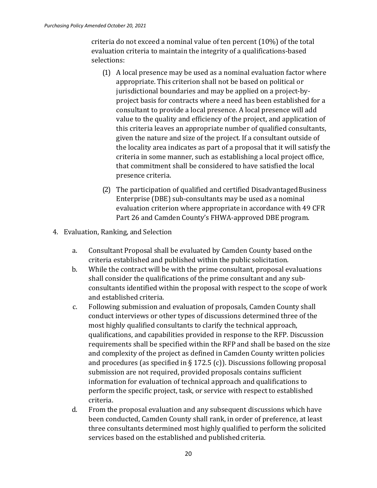criteria do not exceed a nominal value of ten percent (10%) of the total evaluation criteria to maintain the integrity of a qualifications-based selections:

- (1) A local presence may be used as a nominal evaluation factor where appropriate. This criterion shall not be based on political or jurisdictional boundaries and may be applied on a project-byproject basis for contracts where a need has been established for a consultant to provide a local presence. A local presence will add value to the quality and efficiency of the project, and application of this criteria leaves an appropriate number of qualified consultants, given the nature and size of the project. If a consultant outside of the locality area indicates as part of a proposal that it will satisfy the criteria in some manner, such as establishing a local project office, that commitment shall be considered to have satisfied the local presence criteria.
- (2) The participation of qualified and certified Disadvantaged Business Enterprise (DBE) sub-consultants may be used as a nominal evaluation criterion where appropriate in accordance with 49 CFR Part 26 and Camden County's FHWA-approved DBE program.
- 4. Evaluation, Ranking, and Selection
	- a. Consultant Proposal shall be evaluated by Camden County based onthe criteria established and published within the public solicitation.
	- b. While the contract will be with the prime consultant, proposal evaluations shall consider the qualifications of the prime consultant and any subconsultants identified within the proposal with respect to the scope of work and established criteria.
	- c. Following submission and evaluation of proposals, Camden County shall conduct interviews or other types of discussions determined three of the most highly qualified consultants to clarify the technical approach, qualifications, and capabilities provided in response to the RFP. Discussion requirements shall be specified within the RFP and shall be based on the size and complexity of the project as defined in Camden County written policies and procedures (as specified in § 172.5 (c)). Discussions following proposal submission are not required, provided proposals contains sufficient information for evaluation of technical approach and qualifications to perform the specific project, task, or service with respect to established criteria.
	- d. From the proposal evaluation and any subsequent discussions which have been conducted, Camden County shall rank, in order of preference, at least three consultants determined most highly qualified to perform the solicited services based on the established and published criteria.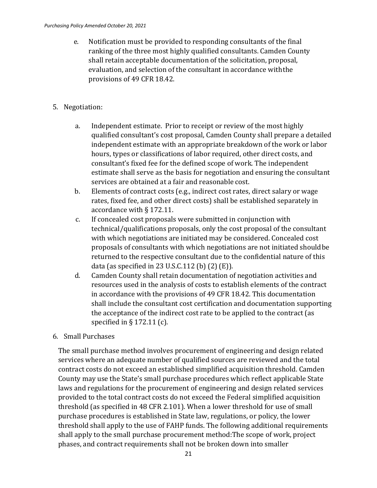- e. Notification must be provided to responding consultants of the final ranking of the three most highly qualified consultants. Camden County shall retain acceptable documentation of the solicitation, proposal, evaluation, and selection of the consultant in accordance withthe provisions of 49 CFR 18.42.
- 5. Negotiation:
	- a. Independent estimate. Prior to receipt or review of the most highly qualified consultant's cost proposal, Camden County shall prepare a detailed independent estimate with an appropriate breakdown of the work or labor hours, types or classifications of labor required, other direct costs, and consultant's fixed fee for the defined scope of work. The independent estimate shall serve as the basis for negotiation and ensuring the consultant services are obtained at a fair and reasonable cost.
	- b. Elements of contract costs (e.g., indirect cost rates, direct salary or wage rates, fixed fee, and other direct costs) shall be established separately in accordance with § 172.11.
	- c. If concealed cost proposals were submitted in conjunction with technical/qualifications proposals, only the cost proposal of the consultant with which negotiations are initiated may be considered. Concealed cost proposals of consultants with which negotiations are not initiated shouldbe returned to the respective consultant due to the confidential nature of this data (as specified in 23 U.S.C.112 (b)  $(2)$  (E)).
	- d. Camden County shall retain documentation of negotiation activities and resources used in the analysis of costs to establish elements of the contract in accordance with the provisions of 49 CFR 18.42. This documentation shall include the consultant cost certification and documentation supporting the acceptance of the indirect cost rate to be applied to the contract (as specified in § 172.11 (c).
- 6. Small Purchases

The small purchase method involves procurement of engineering and design related services where an adequate number of qualified sources are reviewed and the total contract costs do not exceed an established simplified acquisition threshold. Camden County may use the State's small purchase procedures which reflect applicable State laws and regulations for the procurement of engineering and design related services provided to the total contract costs do not exceed the Federal simplified acquisition threshold (as specified in 48 CFR 2.101). When a lower threshold for use of small purchase procedures is established in State law, regulations, or policy, the lower threshold shall apply to the use of FAHP funds. The following additional requirements shall apply to the small purchase procurement method:The scope of work, project phases, and contract requirements shall not be broken down into smaller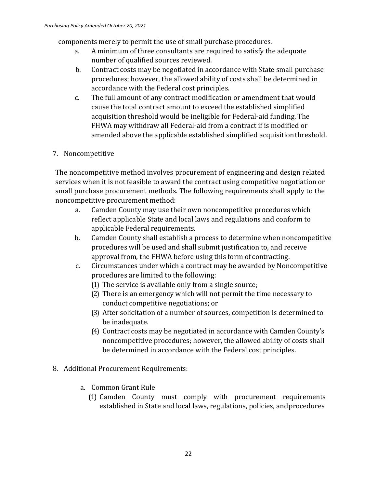components merely to permit the use of small purchase procedures.<br>a. A minimum of three consultants are required to satisfy the

- A minimum of three consultants are required to satisfy the adequate number of qualified sources reviewed.
- b. Contract costs may be negotiated in accordance with State small purchase procedures; however, the allowed ability of costs shall be determined in accordance with the Federal cost principles.
- c. The full amount of any contract modification or amendment that would cause the total contract amount to exceed the established simplified acquisition threshold would be ineligible for Federal-aid funding. The FHWA may withdraw all Federal-aid from a contract if is modified or amended above the applicable established simplified acquisitionthreshold.

### 7. Noncompetitive

The noncompetitive method involves procurement of engineering and design related services when it is not feasible to award the contract using competitive negotiation or small purchase procurement methods. The following requirements shall apply to the noncompetitive procurement method:

- a. Camden County may use their own noncompetitive procedures which reflect applicable State and local laws and regulations and conform to applicable Federal requirements.
- b. Camden County shall establish a process to determine when noncompetitive procedures will be used and shall submit justification to, and receive approval from, the FHWA before using this form of contracting.
- c. Circumstances under which a contract may be awarded by Noncompetitive procedures are limited to the following:
	- (1) The service is available only from a single source;
	- (2) There is an emergency which will not permit the time necessary to conduct competitive negotiations; or
	- (3) After solicitation of a number of sources, competition is determined to be inadequate.
	- (4) Contract costs may be negotiated in accordance with Camden County's noncompetitive procedures; however, the allowed ability of costs shall be determined in accordance with the Federal cost principles.
- 8. Additional Procurement Requirements:
	- a. Common Grant Rule
		- (1) Camden County must comply with procurement requirements established in State and local laws, regulations, policies, andprocedures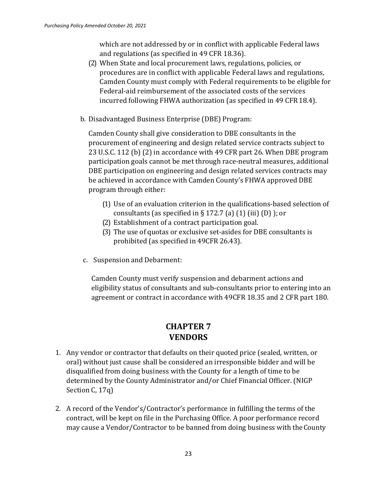which are not addressed by or in conflict with applicable Federal laws and regulations (as specified in 49 CFR 18.36).

- (2) When State and local procurement laws, regulations, policies, or procedures are in conflict with applicable Federal laws and regulations, Camden County must comply with Federal requirements to be eligible for Federal-aid reimbursement of the associated costs of the services incurred following FHWA authorization (as specified in 49 CFR18.4).
- b. Disadvantaged Business Enterprise (DBE) Program:

Camden County shall give consideration to DBE consultants in the procurement of engineering and design related service contracts subject to 23 U.S.C. 112 (b) (2) in accordance with 49 CFR part 26. When DBE program participation goals cannot be met through race-neutral measures, additional DBE participation on engineering and design related services contracts may be achieved in accordance with Camden County's FHWA approved DBE program through either:

- (1) Use of an evaluation criterion in the qualifications-based selection of consultants (as specified in  $\S 172.7$  (a) (1) (iii) (D) ); or
- (2) Establishment of a contract participation goal.
- (3) The use of quotas or exclusive set-asides for DBE consultants is prohibited (as specified in 49CFR 26.43).
- c. Suspension and Debarment:

Camden County must verify suspension and debarment actions and eligibility status of consultants and sub-consultants prior to entering into an agreement or contract in accordance with 49CFR 18.35 and 2 CFR part 180.

## **CHAPTER 7 VENDORS**

- 1. Any vendor or contractor that defaults on their quoted price (sealed, written, or oral) without just cause shall be considered an irresponsible bidder and will be disqualified from doing business with the County for a length of time to be determined by the County Administrator and/or Chief Financial Officer. (NIGP Section C, 17q)
- 2. A record of the Vendor's/Contractor's performance in fulfilling the terms of the contract, will be kept on file in the Purchasing Office. A poor performance record may cause a Vendor/Contractor to be banned from doing business with theCounty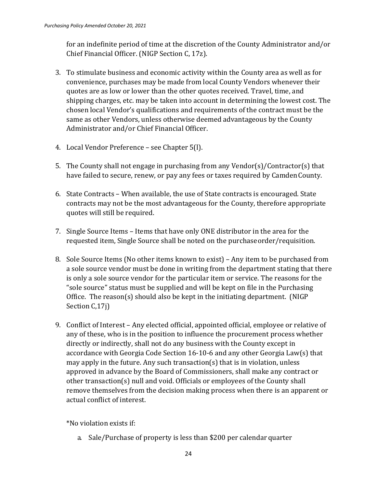for an indefinite period of time at the discretion of the County Administrator and/or Chief Financial Officer. (NIGP Section C, 17z).

- 3. To stimulate business and economic activity within the County area as well as for convenience, purchases may be made from local County Vendors whenever their quotes are as low or lower than the other quotes received. Travel, time, and shipping charges, etc. may be taken into account in determining the lowest cost. The chosen local Vendor's qualifications and requirements of the contract must be the same as other Vendors, unless otherwise deemed advantageous by the County Administrator and/or Chief Financial Officer.
- 4. Local Vendor Preference see Chapter 5(l).
- 5. The County shall not engage in purchasing from any Vendor(s)/Contractor(s) that have failed to secure, renew, or pay any fees or taxes required by CamdenCounty.
- 6. State Contracts When available, the use of State contracts is encouraged. State contracts may not be the most advantageous for the County, therefore appropriate quotes will still be required.
- 7. Single Source Items Items that have only ONE distributor in the area for the requested item, Single Source shall be noted on the purchaseorder/requisition.
- 8. Sole Source Items (No other items known to exist) Any item to be purchased from a sole source vendor must be done in writing from the department stating that there is only a sole source vendor for the particular item or service. The reasons for the "sole source" status must be supplied and will be kept on file in the Purchasing Office. The reason(s) should also be kept in the initiating department. (NIGP Section C<sub>,17j</sub>)
- 9. Conflict of Interest Any elected official, appointed official, employee or relative of any of these, who is in the position to influence the procurement process whether directly or indirectly, shall not do any business with the County except in accordance with Georgia Code Section 16-10-6 and any other Georgia Law(s) that may apply in the future. Any such transaction(s) that is in violation, unless approved in advance by the Board of Commissioners, shall make any contract or other transaction(s) null and void. Officials or employees of the County shall remove themselves from the decision making process when there is an apparent or actual conflict of interest.

\*No violation exists if:

a. Sale/Purchase of property is less than \$200 per calendar quarter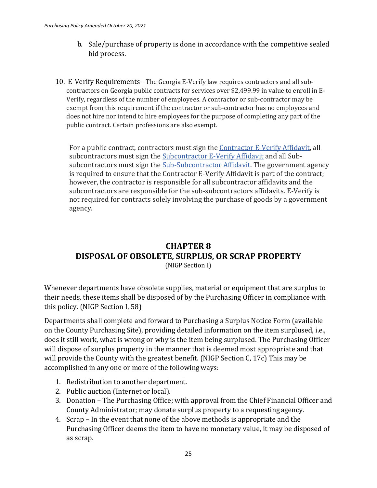- b. Sale/purchase of property is done in accordance with the competitive sealed bid process.
- 10. E-Verify Requirements The Georgia E-Verify law requires contractors and all subcontractors on Georgia public contracts for services over \$2,499.99 in value to enroll in E-Verify, regardless of the number of employees. A contractor or sub-contractor may be exempt from this requirement if the contractor or sub-contractor has no employees and does not hire nor intend to hire employees for the purpose of completing any part of the public contract. Certain professions are also exempt.

For a public contract, contractors must sign the [Contractor E-Verify Affidavit, a](http://www.audits.ga.gov/NALGAD/Files/Section_3_-_Affidavit_-_OCGA_13-10-91xbx1x.pdf)ll subcontractors must sign the [Subcontractor E-Verify Affidavit](http://www.audits.ga.gov/NALGAD/Files/AG-x654040-v1-Second_Subcontractor_Affidavit_under_O_C_G_A___247_13-10-91_b__3_.pdf) and all Subsubcontractors must sign the [Sub-Subcontractor Affidavit. T](http://www.audits.ga.gov/NALGAD/Files/Section_3_-_Affidavit_-_OCGA_13-10-91xbx4x.pdf)he government agency is required to ensure that the Contractor E-Verify Affidavit is part of the contract; however, the contractor is responsible for all subcontractor affidavits and the subcontractors are responsible for the sub-subcontractors affidavits. E-Verify is not required for contracts solely involving the purchase of goods by a government agency.

## **CHAPTER 8 DISPOSAL OF OBSOLETE, SURPLUS, OR SCRAP PROPERTY** (NIGP Section I)

Whenever departments have obsolete supplies, material or equipment that are surplus to their needs, these items shall be disposed of by the Purchasing Officer in compliance with this policy. (NIGP Section I, 58)

Departments shall complete and forward to Purchasing a Surplus Notice Form (available on the County Purchasing Site), providing detailed information on the item surplused, i.e., does it still work, what is wrong or why is the item being surplused. The Purchasing Officer will dispose of surplus property in the manner that is deemed most appropriate and that will provide the County with the greatest benefit. (NIGP Section C, 17c) This may be accomplished in any one or more of the following ways:

- 1. Redistribution to another department.
- 2. Public auction (Internet or local).
- 3. Donation The Purchasing Office; with approval from the Chief Financial Officer and County Administrator; may donate surplus property to a requesting agency.
- 4. Scrap In the event that none of the above methods is appropriate and the Purchasing Officer deems the item to have no monetary value, it may be disposed of as scrap.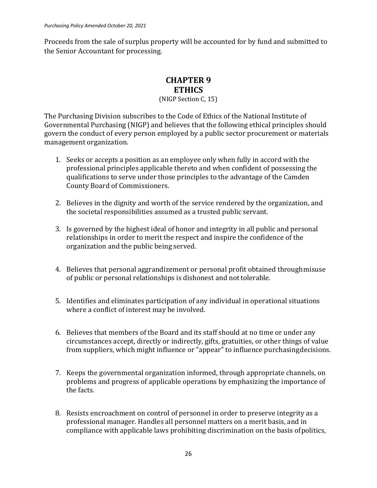Proceeds from the sale of surplus property will be accounted for by fund and submitted to the Senior Accountant for processing.

### **CHAPTER 9 ETHICS**

(NIGP Section C, 15)

The Purchasing Division subscribes to the Code of Ethics of the National Institute of Governmental Purchasing (NIGP) and believes that the following ethical principles should govern the conduct of every person employed by a public sector procurement or materials management organization.

- 1. Seeks or accepts a position as an employee only when fully in accord with the professional principles applicable thereto and when confident of possessing the qualifications to serve under those principles to the advantage of the Camden County Board of Commissioners.
- 2. Believes in the dignity and worth of the service rendered by the organization, and the societal responsibilities assumed as a trusted public servant.
- 3. Is governed by the highest ideal of honor and integrity in all public and personal relationships in order to merit the respect and inspire the confidence of the organization and the public being served.
- 4. Believes that personal aggrandizement or personal profit obtained throughmisuse of public or personal relationships is dishonest and nottolerable.
- 5. Identifies and eliminates participation of any individual in operational situations where a conflict of interest may be involved.
- 6. Believes that members of the Board and its staff should at no time or under any circumstances accept, directly or indirectly, gifts, gratuities, or other things of value from suppliers, which might influence or "appear" to influence purchasingdecisions.
- 7. Keeps the governmental organization informed, through appropriate channels, on problems and progress of applicable operations by emphasizing the importance of the facts.
- 8. Resists encroachment on control of personnel in order to preserve integrity as a professional manager. Handles all personnel matters on a merit basis, and in compliance with applicable laws prohibiting discrimination on the basis ofpolitics,